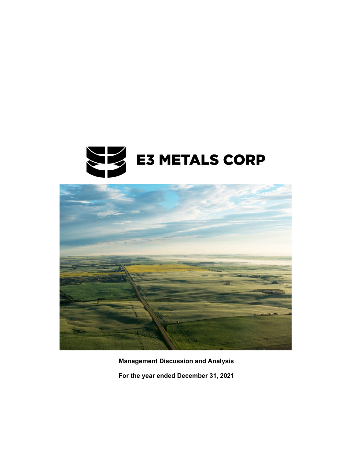



**Management Discussion and Analysis For the year ended December 31, 2021**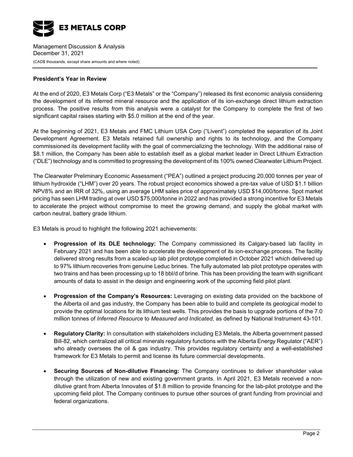

#### **President's Year in Review**

At the end of 2020, E3 Metals Corp ("E3 Metals" or the "Company") released its first economic analysis considering the development of its inferred mineral resource and the application of its ion-exchange direct lithium extraction process. The positive results from this analysis were a catalyst for the Company to complete the first of two significant capital raises starting with \$5.0 million at the end of the year.

At the beginning of 2021, E3 Metals and FMC Lithium USA Corp ("Livent") completed the separation of its Joint Development Agreement. E3 Metals retained full ownership and rights to its technology, and the Company commissioned its development facility with the goal of commercializing the technology. With the additional raise of \$8.1 million, the Company has been able to establish itself as a global market leader in Direct Lithium Extraction ("DLE") technology and is committed to progressing the development of its 100% owned Clearwater Lithium Project.

The Clearwater Preliminary Economic Assessment ("PEA") outlined a project producing 20,000 tonnes per year of lithium hydroxide ("LHM") over 20 years. The robust project economics showed a pre-tax value of USD \$1.1 billion NPV8% and an IRR of 32%, using an average LHM sales price of approximately USD \$14,000/tonne. Spot market pricing has seen LHM trading at over USD \$75,000/tonne in 2022 and has provided a strong incentive for E3 Metals to accelerate the project without compromise to meet the growing demand, and supply the global market with carbon neutral, battery grade lithium.

E3 Metals is proud to highlight the following 2021 achievements:

- **Progression of its DLE technology:** The Company commissioned its Calgary-based lab facility in February 2021 and has been able to accelerate the development of its ion-exchange process. The facility delivered strong results from a scaled-up lab pilot prototype completed in October 2021 which delivered up to 97% lithium recoveries from genuine Leduc brines. The fully automated lab pilot prototype operates with two trains and has been processing up to 18 bbl/d of brine. This has been providing the team with significant amounts of data to assist in the design and engineering work of the upcoming field pilot plant.
- **Progression of the Company's Resources:** Leveraging on existing data provided on the backbone of the Alberta oil and gas industry, the Company has been able to build and complete its geological model to provide the optimal locations for its lithium test wells. This provides the basis to upgrade portions of the 7.0 million tonnes of *Inferred Resource* to *Measured and Indicated*, as defined by National Instrument 43-101.
- **Regulatory Clarity:** In consultation with stakeholders including E3 Metals, the Alberta government passed Bill-82, which centralized all critical minerals regulatory functions with the Alberta Energy Regulator ("AER") who already oversees the oil & gas industry. This provides regulatory certainty and a well-established framework for E3 Metals to permit and license its future commercial developments.
- **Securing Sources of Non-dilutive Financing:** The Company continues to deliver shareholder value through the utilization of new and existing government grants. In April 2021, E3 Metals received a nondilutive grant from Alberta Innovates of \$1.8 million to provide financing for the lab-pilot prototype and the upcoming field pilot. The Company continues to pursue other sources of grant funding from provincial and federal organizations.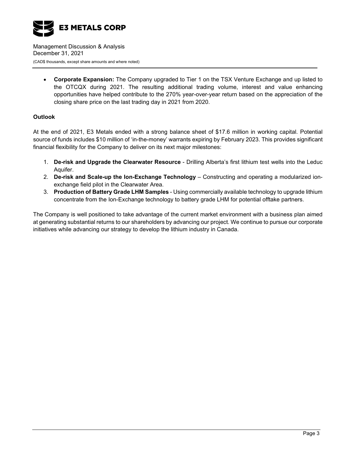

• **Corporate Expansion:** The Company upgraded to Tier 1 on the TSX Venture Exchange and up listed to the OTCQX during 2021. The resulting additional trading volume, interest and value enhancing opportunities have helped contribute to the 270% year-over-year return based on the appreciation of the closing share price on the last trading day in 2021 from 2020.

### **Outlook**

At the end of 2021, E3 Metals ended with a strong balance sheet of \$17.6 million in working capital. Potential source of funds includes \$10 million of 'in-the-money' warrants expiring by February 2023. This provides significant financial flexibility for the Company to deliver on its next major milestones:

- 1. **De-risk and Upgrade the Clearwater Resource** Drilling Alberta's first lithium test wells into the Leduc Aquifer.
- 2. **De-risk and Scale-up the Ion-Exchange Technology** Constructing and operating a modularized ionexchange field pilot in the Clearwater Area.
- 3. **Production of Battery Grade LHM Samples** Using commercially available technology to upgrade lithium concentrate from the Ion-Exchange technology to battery grade LHM for potential offtake partners.

The Company is well positioned to take advantage of the current market environment with a business plan aimed at generating substantial returns to our shareholders by advancing our project. We continue to pursue our corporate initiatives while advancing our strategy to develop the lithium industry in Canada.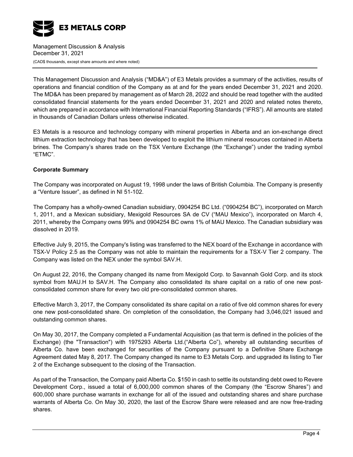

This Management Discussion and Analysis ("MD&A") of E3 Metals provides a summary of the activities, results of operations and financial condition of the Company as at and for the years ended December 31, 2021 and 2020. The MD&A has been prepared by management as of March 28, 2022 and should be read together with the audited consolidated financial statements for the years ended December 31, 2021 and 2020 and related notes thereto, which are prepared in accordance with International Financial Reporting Standards ("IFRS"). All amounts are stated in thousands of Canadian Dollars unless otherwise indicated.

E3 Metals is a resource and technology company with mineral properties in Alberta and an ion-exchange direct lithium extraction technology that has been developed to exploit the lithium mineral resources contained in Alberta brines. The Company's shares trade on the TSX Venture Exchange (the "Exchange") under the trading symbol "ETMC".

### **Corporate Summary**

The Company was incorporated on August 19, 1998 under the laws of British Columbia. The Company is presently a "Venture Issuer", as defined in NI 51-102.

The Company has a wholly-owned Canadian subsidiary, 0904254 BC Ltd. ("0904254 BC"), incorporated on March 1, 2011, and a Mexican subsidiary, Mexigold Resources SA de CV ("MAU Mexico"), incorporated on March 4, 2011, whereby the Company owns 99% and 0904254 BC owns 1% of MAU Mexico. The Canadian subsidiary was dissolved in 2019.

Effective July 9, 2015, the Company's listing was transferred to the NEX board of the Exchange in accordance with TSX-V Policy 2.5 as the Company was not able to maintain the requirements for a TSX-V Tier 2 company. The Company was listed on the NEX under the symbol SAV.H.

On August 22, 2016, the Company changed its name from Mexigold Corp. to Savannah Gold Corp. and its stock symbol from MAU.H to SAV.H. The Company also consolidated its share capital on a ratio of one new postconsolidated common share for every two old pre-consolidated common shares.

Effective March 3, 2017, the Company consolidated its share capital on a ratio of five old common shares for every one new post-consolidated share. On completion of the consolidation, the Company had 3,046,021 issued and outstanding common shares.

On May 30, 2017, the Company completed a Fundamental Acquisition (as that term is defined in the policies of the Exchange) (the "Transaction") with 1975293 Alberta Ltd.("Alberta Co"), whereby all outstanding securities of Alberta Co. have been exchanged for securities of the Company pursuant to a Definitive Share Exchange Agreement dated May 8, 2017. The Company changed its name to E3 Metals Corp. and upgraded its listing to Tier 2 of the Exchange subsequent to the closing of the Transaction.

As part of the Transaction, the Company paid Alberta Co. \$150 in cash to settle its outstanding debt owed to Revere Development Corp., issued a total of 6,000,000 common shares of the Company (the "Escrow Shares") and 600,000 share purchase warrants in exchange for all of the issued and outstanding shares and share purchase warrants of Alberta Co. On May 30, 2020, the last of the Escrow Share were released and are now free-trading shares.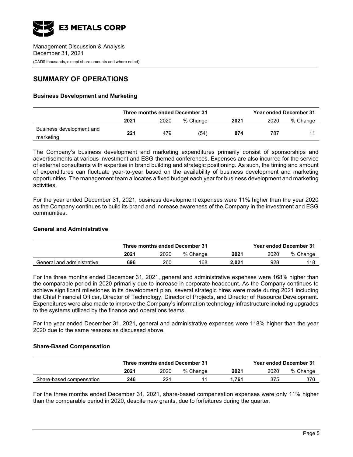

# **SUMMARY OF OPERATIONS**

### **Business Development and Marketing**

|                                       | Three months ended December 31 |      |          | <b>Year ended December 31</b> |      |          |
|---------------------------------------|--------------------------------|------|----------|-------------------------------|------|----------|
|                                       | 2021                           | 2020 | % Change | 2021                          | 2020 | % Change |
| Business development and<br>marketing | 221                            | 479  | (54)     | 874                           | 787  |          |

The Company's business development and marketing expenditures primarily consist of sponsorships and advertisements at various investment and ESG-themed conferences. Expenses are also incurred for the service of external consultants with expertise in brand building and strategic positioning. As such, the timing and amount of expenditures can fluctuate year-to-year based on the availability of business development and marketing opportunities. The management team allocates a fixed budget each year for business development and marketing activities.

For the year ended December 31, 2021, business development expenses were 11% higher than the year 2020 as the Company continues to build its brand and increase awareness of the Company in the investment and ESG communities.

#### **General and Administrative**

|                            | Three months ended December 31 |      |          |       | <b>Year ended December 31</b> |          |
|----------------------------|--------------------------------|------|----------|-------|-------------------------------|----------|
|                            | 2021                           | 2020 | % Change | 2021  | 2020                          | % Change |
| General and administrative | 696                            | 260  | 168      | 2.021 | 928                           | 118      |

For the three months ended December 31, 2021, general and administrative expenses were 168% higher than the comparable period in 2020 primarily due to increase in corporate headcount. As the Company continues to achieve significant milestones in its development plan, several strategic hires were made during 2021 including the Chief Financial Officer, Director of Technology, Director of Projects, and Director of Resource Development. Expenditures were also made to improve the Company's information technology infrastructure including upgrades to the systems utilized by the finance and operations teams.

For the year ended December 31, 2021, general and administrative expenses were 118% higher than the year 2020 due to the same reasons as discussed above.

#### **Share-Based Compensation**

|                          | Three months ended December 31 |      |          |       | <b>Year ended December 31</b> |          |
|--------------------------|--------------------------------|------|----------|-------|-------------------------------|----------|
|                          | 2021                           | 2020 | % Change | 2021  | 2020                          | % Change |
| Share-based compensation | 246                            | つつ1  |          | 1.761 | 375                           | 370      |

For the three months ended December 31, 2021, share-based compensation expenses were only 11% higher than the comparable period in 2020, despite new grants, due to forfeitures during the quarter.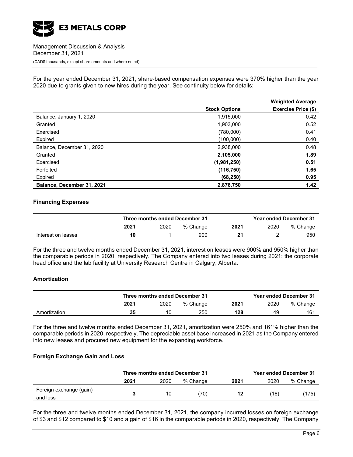

For the year ended December 31, 2021, share-based compensation expenses were 370% higher than the year 2020 due to grants given to new hires during the year. See continuity below for details:

|                            |                      | <b>Weighted Average</b> |
|----------------------------|----------------------|-------------------------|
|                            | <b>Stock Options</b> | Exercise Price (\$)     |
| Balance, January 1, 2020   | 1,915,000            | 0.42                    |
| Granted                    | 1,903,000            | 0.52                    |
| Exercised                  | (780,000)            | 0.41                    |
| Expired                    | (100,000)            | 0.40                    |
| Balance, December 31, 2020 | 2,938,000            | 0.48                    |
| Granted                    | 2,105,000            | 1.89                    |
| Exercised                  | (1,981,250)          | 0.51                    |
| Forfeited                  | (116, 750)           | 1.65                    |
| Expired                    | (68, 250)            | 0.95                    |
| Balance, December 31, 2021 | 2,876,750            | 1.42                    |

#### **Financing Expenses**

|                    |      | Three months ended December 31 |          |      | <b>Year ended December 31</b> |          |
|--------------------|------|--------------------------------|----------|------|-------------------------------|----------|
|                    | 2021 | 2020                           | % Change | 2021 | 2020                          | % Change |
| Interest on leases |      |                                | 900      | 21   |                               | 950      |

For the three and twelve months ended December 31, 2021, interest on leases were 900% and 950% higher than the comparable periods in 2020, respectively. The Company entered into two leases during 2021: the corporate head office and the lab facility at University Research Centre in Calgary, Alberta.

### **Amortization**

|              |      | Three months ended December 31 |          |      |      | <b>Year ended December 31</b> |  |
|--------------|------|--------------------------------|----------|------|------|-------------------------------|--|
|              | 2021 | 2020                           | % Change | 2021 | 2020 | % Change                      |  |
| Amortization | 35   | 10                             | 250      | 128  | 49   | 161                           |  |

For the three and twelve months ended December 31, 2021, amortization were 250% and 161% higher than the comparable periods in 2020, respectively. The depreciable asset base increased in 2021 as the Company entered into new leases and procured new equipment for the expanding workforce.

#### **Foreign Exchange Gain and Loss**

|                         | Three months ended December 31 |      |          |      |      | <b>Year ended December 31</b> |
|-------------------------|--------------------------------|------|----------|------|------|-------------------------------|
|                         | 2021                           | 2020 | % Change | 2021 | 2020 | % Change                      |
| Foreign exchange (gain) |                                | 10   | (70)     | 12   | (16) | (175)                         |
| and loss                |                                |      |          |      |      |                               |

For the three and twelve months ended December 31, 2021, the company incurred losses on foreign exchange of \$3 and \$12 compared to \$10 and a gain of \$16 in the comparable periods in 2020, respectively. The Company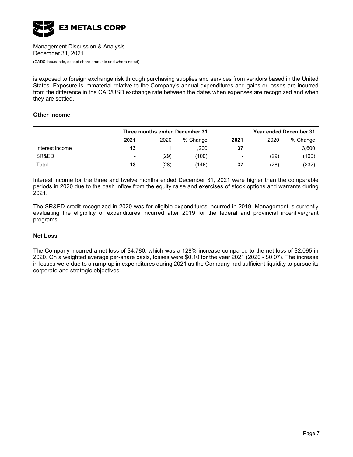

is exposed to foreign exchange risk through purchasing supplies and services from vendors based in the United States. Exposure is immaterial relative to the Company's annual expenditures and gains or losses are incurred from the difference in the CAD/USD exchange rate between the dates when expenses are recognized and when they are settled.

#### **Other Income**

|                 | Three months ended December 31 |      |          |                | <b>Year ended December 31</b> |          |
|-----------------|--------------------------------|------|----------|----------------|-------------------------------|----------|
|                 | 2021                           | 2020 | % Change | 2021           | 2020                          | % Change |
| Interest income | 13                             |      | 1.200    | 37             |                               | 3,600    |
| SR&ED           | $\overline{\phantom{0}}$       | (29) | (100)    | $\blacksquare$ | $^{\prime}29)$                | (100)    |
| Total           | 13                             | (28) | 146)     | 37             | (28)                          | (232)    |

Interest income for the three and twelve months ended December 31, 2021 were higher than the comparable periods in 2020 due to the cash inflow from the equity raise and exercises of stock options and warrants during 2021.

The SR&ED credit recognized in 2020 was for eligible expenditures incurred in 2019. Management is currently evaluating the eligibility of expenditures incurred after 2019 for the federal and provincial incentive/grant programs.

#### **Net Loss**

The Company incurred a net loss of \$4,780, which was a 128% increase compared to the net loss of \$2,095 in 2020. On a weighted average per-share basis, losses were \$0.10 for the year 2021 (2020 - \$0.07). The increase in losses were due to a ramp-up in expenditures during 2021 as the Company had sufficient liquidity to pursue its corporate and strategic objectives.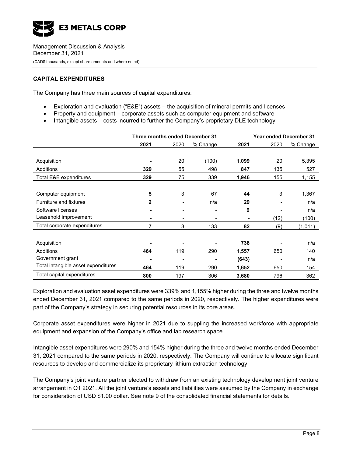

### **CAPITAL EXPENDITURES**

The Company has three main sources of capital expenditures:

- Exploration and evaluation ("E&E") assets the acquisition of mineral permits and licenses
- Property and equipment corporate assets such as computer equipment and software
- Intangible assets costs incurred to further the Company's proprietary DLE technology

|                                     | Three months ended December 31 |      |          | <b>Year ended December 31</b> |      |          |
|-------------------------------------|--------------------------------|------|----------|-------------------------------|------|----------|
|                                     | 2021                           | 2020 | % Change | 2021                          | 2020 | % Change |
|                                     |                                |      |          |                               |      |          |
| Acquisition                         |                                | 20   | (100)    | 1,099                         | 20   | 5,395    |
| Additions                           | 329                            | 55   | 498      | 847                           | 135  | 527      |
| Total E&E expenditures              | 329                            | 75   | 339      | 1,946                         | 155  | 1,155    |
|                                     |                                |      |          |                               |      |          |
| Computer equipment                  | 5                              | 3    | 67       | 44                            | 3    | 1,367    |
| Furniture and fixtures              | 2                              |      | n/a      | 29                            |      | n/a      |
| Software licenses                   |                                |      |          | 9                             |      | n/a      |
| Leasehold improvement               |                                |      |          |                               | (12) | (100)    |
| Total corporate expenditures        | 7                              | 3    | 133      | 82                            | (9)  | (1,011)  |
|                                     |                                |      |          |                               |      |          |
| Acquisition                         |                                |      |          | 738                           |      | n/a      |
| <b>Additions</b>                    | 464                            | 119  | 290      | 1,557                         | 650  | 140      |
| Government grant                    |                                |      |          | (643)                         |      | n/a      |
| Total intangible asset expenditures | 464                            | 119  | 290      | 1,652                         | 650  | 154      |
| Total capital expenditures          | 800                            | 197  | 306      | 3,680                         | 796  | 362      |

Exploration and evaluation asset expenditures were 339% and 1,155% higher during the three and twelve months ended December 31, 2021 compared to the same periods in 2020, respectively. The higher expenditures were part of the Company's strategy in securing potential resources in its core areas.

Corporate asset expenditures were higher in 2021 due to suppling the increased workforce with appropriate equipment and expansion of the Company's office and lab research space.

Intangible asset expenditures were 290% and 154% higher during the three and twelve months ended December 31, 2021 compared to the same periods in 2020, respectively. The Company will continue to allocate significant resources to develop and commercialize its proprietary lithium extraction technology.

The Company's joint venture partner elected to withdraw from an existing technology development joint venture arrangement in Q1 2021. All the joint venture's assets and liabilities were assumed by the Company in exchange for consideration of USD \$1.00 dollar. See note 9 of the consolidated financial statements for details.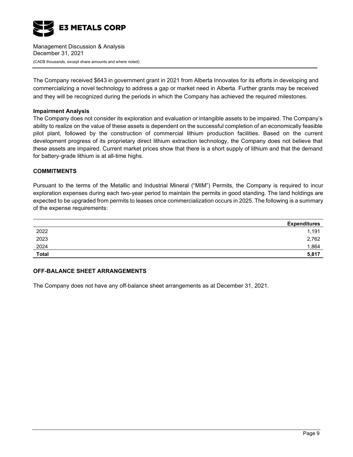

The Company received \$643 in government grant in 2021 from Alberta Innovates for its efforts in developing and commercializing a novel technology to address a gap or market need in Alberta. Further grants may be received and they will be recognized during the periods in which the Company has achieved the required milestones.

#### **Impairment Analysis**

The Company does not consider its exploration and evaluation or intangible assets to be impaired. The Company's ability to realize on the value of these assets is dependent on the successful completion of an economically feasible pilot plant, followed by the construction of commercial lithium production facilities. Based on the current development progress of its proprietary direct lithium extraction technology, the Company does not believe that these assets are impaired. Current market prices show that there is a short supply of lithium and that the demand for battery-grade lithium is at all-time highs.

#### **COMMITMENTS**

Pursuant to the terms of the Metallic and Industrial Mineral ("MIM") Permits, the Company is required to incur exploration expenses during each two-year period to maintain the permits in good standing. The land holdings are expected to be upgraded from permits to leases once commercialization occurs in 2025. The following is a summary of the expense requirements:

|              | <b>Expenditures</b> |
|--------------|---------------------|
| 2022         | 1,191               |
| 2023         | 2,762               |
| 2024         | 1,864               |
| <b>Total</b> | 5,817               |

### **OFF-BALANCE SHEET ARRANGEMENTS**

The Company does not have any off-balance sheet arrangements as at December 31, 2021.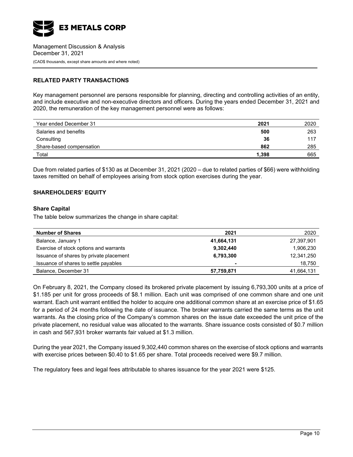

### **RELATED PARTY TRANSACTIONS**

Key management personnel are persons responsible for planning, directing and controlling activities of an entity, and include executive and non-executive directors and officers. During the years ended December 31, 2021 and 2020, the remuneration of the key management personnel were as follows:

| Year ended December 31   | 2021  | 2020 |
|--------------------------|-------|------|
| Salaries and benefits    | 500   | 263  |
| Consulting               | 36    | 117  |
| Share-based compensation | 862   | 285  |
| Total                    | 1.398 | 665  |

Due from related parties of \$130 as at December 31, 2021 (2020 – due to related parties of \$66) were withholding taxes remitted on behalf of employees arising from stock option exercises during the year.

### **SHAREHOLDERS' EQUITY**

#### **Share Capital**

The table below summarizes the change in share capital:

| <b>Number of Shares</b>                 | 2021           | 2020       |
|-----------------------------------------|----------------|------------|
| Balance, January 1                      | 41,664,131     | 27,397,901 |
| Exercise of stock options and warrants  | 9,302,440      | 1,906,230  |
| Issuance of shares by private placement | 6,793,300      | 12,341,250 |
| Issuance of shares to settle payables   | $\blacksquare$ | 18,750     |
| Balance, December 31                    | 57,759,871     | 41,664,131 |

On February 8, 2021, the Company closed its brokered private placement by issuing 6,793,300 units at a price of \$1.185 per unit for gross proceeds of \$8.1 million. Each unit was comprised of one common share and one unit warrant. Each unit warrant entitled the holder to acquire one additional common share at an exercise price of \$1.65 for a period of 24 months following the date of issuance. The broker warrants carried the same terms as the unit warrants. As the closing price of the Company's common shares on the issue date exceeded the unit price of the private placement, no residual value was allocated to the warrants. Share issuance costs consisted of \$0.7 million in cash and 567,931 broker warrants fair valued at \$1.3 million.

During the year 2021, the Company issued 9,302,440 common shares on the exercise of stock options and warrants with exercise prices between \$0.40 to \$1.65 per share. Total proceeds received were \$9.7 million.

The regulatory fees and legal fees attributable to shares issuance for the year 2021 were \$125.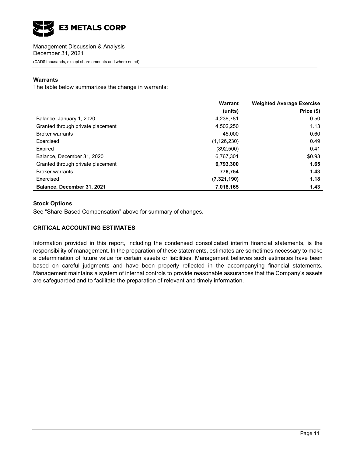

### **Warrants**

The table below summarizes the change in warrants:

|                                   | Warrant       | <b>Weighted Average Exercise</b> |  |
|-----------------------------------|---------------|----------------------------------|--|
|                                   | (units)       | Price (\$)                       |  |
| Balance, January 1, 2020          | 4,238,781     | 0.50                             |  |
| Granted through private placement | 4,502,250     | 1.13                             |  |
| <b>Broker warrants</b>            | 45.000        | 0.60                             |  |
| Exercised                         | (1, 126, 230) | 0.49                             |  |
| Expired                           | (892.500)     | 0.41                             |  |
| Balance, December 31, 2020        | 6,767,301     | \$0.93                           |  |
| Granted through private placement | 6,793,300     | 1.65                             |  |
| <b>Broker warrants</b>            | 778.754       | 1.43                             |  |
| Exercised                         | (7,321,190)   | 1.18                             |  |
| Balance, December 31, 2021        | 7,018,165     | 1.43                             |  |

### **Stock Options**

See "Share-Based Compensation" above for summary of changes.

### **CRITICAL ACCOUNTING ESTIMATES**

Information provided in this report, including the condensed consolidated interim financial statements, is the responsibility of management. In the preparation of these statements, estimates are sometimes necessary to make a determination of future value for certain assets or liabilities. Management believes such estimates have been based on careful judgments and have been properly reflected in the accompanying financial statements. Management maintains a system of internal controls to provide reasonable assurances that the Company's assets are safeguarded and to facilitate the preparation of relevant and timely information.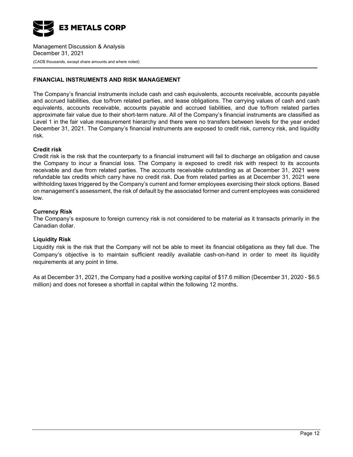

### **FINANCIAL INSTRUMENTS AND RISK MANAGEMENT**

The Company's financial instruments include cash and cash equivalents, accounts receivable, accounts payable and accrued liabilities, due to/from related parties, and lease obligations. The carrying values of cash and cash equivalents, accounts receivable, accounts payable and accrued liabilities, and due to/from related parties approximate fair value due to their short-term nature. All of the Company's financial instruments are classified as Level 1 in the fair value measurement hierarchy and there were no transfers between levels for the year ended December 31, 2021. The Company's financial instruments are exposed to credit risk, currency risk, and liquidity risk.

#### **Credit risk**

Credit risk is the risk that the counterparty to a financial instrument will fail to discharge an obligation and cause the Company to incur a financial loss. The Company is exposed to credit risk with respect to its accounts receivable and due from related parties. The accounts receivable outstanding as at December 31, 2021 were refundable tax credits which carry have no credit risk. Due from related parties as at December 31, 2021 were withholding taxes triggered by the Company's current and former employees exercising their stock options. Based on management's assessment, the risk of default by the associated former and current employees was considered low.

#### **Currency Risk**

The Company's exposure to foreign currency risk is not considered to be material as it transacts primarily in the Canadian dollar.

### **Liquidity Risk**

Liquidity risk is the risk that the Company will not be able to meet its financial obligations as they fall due. The Company's objective is to maintain sufficient readily available cash-on-hand in order to meet its liquidity requirements at any point in time.

As at December 31, 2021, the Company had a positive working capital of \$17.6 million (December 31, 2020 - \$6.5 million) and does not foresee a shortfall in capital within the following 12 months.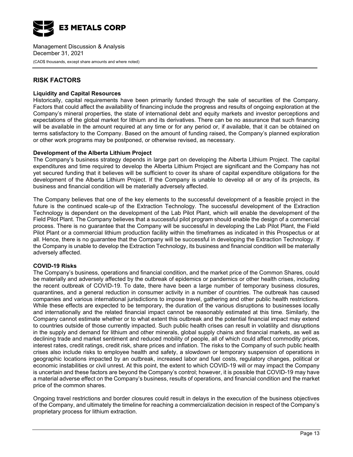

# **RISK FACTORS**

#### **Liquidity and Capital Resources**

Historically, capital requirements have been primarily funded through the sale of securities of the Company. Factors that could affect the availability of financing include the progress and results of ongoing exploration at the Company's mineral properties, the state of international debt and equity markets and investor perceptions and expectations of the global market for lithium and its derivatives. There can be no assurance that such financing will be available in the amount required at any time or for any period or, if available, that it can be obtained on terms satisfactory to the Company. Based on the amount of funding raised, the Company's planned exploration or other work programs may be postponed, or otherwise revised, as necessary.

#### **Development of the Alberta Lithium Project**

The Company's business strategy depends in large part on developing the Alberta Lithium Project. The capital expenditures and time required to develop the Alberta Lithium Project are significant and the Company has not yet secured funding that it believes will be sufficient to cover its share of capital expenditure obligations for the development of the Alberta Lithium Project. If the Company is unable to develop all or any of its projects, its business and financial condition will be materially adversely affected.

The Company believes that one of the key elements to the successful development of a feasible project in the future is the continued scale-up of the Extraction Technology. The successful development of the Extraction Technology is dependent on the development of the Lab Pilot Plant, which will enable the development of the Field Pilot Plant. The Company believes that a successful pilot program should enable the design of a commercial process. There is no guarantee that the Company will be successful in developing the Lab Pilot Plant, the Field Pilot Plant or a commercial lithium production facility within the timeframes as indicated in this Prospectus or at all. Hence, there is no guarantee that the Company will be successful in developing the Extraction Technology. If the Company is unable to develop the Extraction Technology, its business and financial condition will be materially adversely affected.

#### **COVID-19 Risks**

The Company's business, operations and financial condition, and the market price of the Common Shares, could be materially and adversely affected by the outbreak of epidemics or pandemics or other health crises, including the recent outbreak of COVID-19. To date, there have been a large number of temporary business closures, quarantines, and a general reduction in consumer activity in a number of countries. The outbreak has caused companies and various international jurisdictions to impose travel, gathering and other public health restrictions. While these effects are expected to be temporary, the duration of the various disruptions to businesses locally and internationally and the related financial impact cannot be reasonably estimated at this time. Similarly, the Company cannot estimate whether or to what extent this outbreak and the potential financial impact may extend to countries outside of those currently impacted. Such public health crises can result in volatility and disruptions in the supply and demand for lithium and other minerals, global supply chains and financial markets, as well as declining trade and market sentiment and reduced mobility of people, all of which could affect commodity prices, interest rates, credit ratings, credit risk, share prices and inflation. The risks to the Company of such public health crises also include risks to employee health and safety, a slowdown or temporary suspension of operations in geographic locations impacted by an outbreak, increased labor and fuel costs, regulatory changes, political or economic instabilities or civil unrest. At this point, the extent to which COVID-19 will or may impact the Company is uncertain and these factors are beyond the Company's control; however, it is possible that COVID-19 may have a material adverse effect on the Company's business, results of operations, and financial condition and the market price of the common shares.

Ongoing travel restrictions and border closures could result in delays in the execution of the business objectives of the Company, and ultimately the timeline for reaching a commercialization decision in respect of the Company's proprietary process for lithium extraction.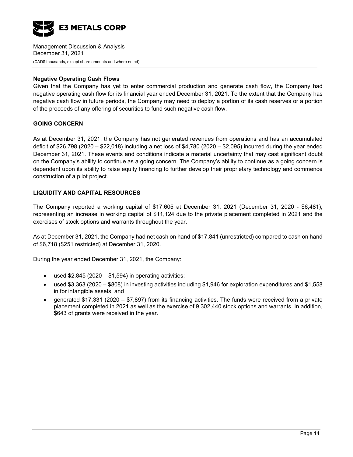

#### **Negative Operating Cash Flows**

Given that the Company has yet to enter commercial production and generate cash flow, the Company had negative operating cash flow for its financial year ended December 31, 2021. To the extent that the Company has negative cash flow in future periods, the Company may need to deploy a portion of its cash reserves or a portion of the proceeds of any offering of securities to fund such negative cash flow.

### **GOING CONCERN**

As at December 31, 2021, the Company has not generated revenues from operations and has an accumulated deficit of \$26,798 (2020 – \$22,018) including a net loss of \$4,780 (2020 – \$2,095) incurred during the year ended December 31, 2021. These events and conditions indicate a material uncertainty that may cast significant doubt on the Company's ability to continue as a going concern. The Company's ability to continue as a going concern is dependent upon its ability to raise equity financing to further develop their proprietary technology and commence construction of a pilot project.

#### **LIQUIDITY AND CAPITAL RESOURCES**

The Company reported a working capital of \$17,605 at December 31, 2021 (December 31, 2020 - \$6,481), representing an increase in working capital of \$11,124 due to the private placement completed in 2021 and the exercises of stock options and warrants throughout the year.

As at December 31, 2021, the Company had net cash on hand of \$17,841 (unrestricted) compared to cash on hand of \$6,718 (\$251 restricted) at December 31, 2020.

During the year ended December 31, 2021, the Company:

- used  $$2,845$  (2020  $$1,594$ ) in operating activities;
- used \$3,363 (2020 \$808) in investing activities including \$1,946 for exploration expenditures and \$1,558 in for intangible assets; and
- generated \$17,331 (2020 \$7,897) from its financing activities. The funds were received from a private placement completed in 2021 as well as the exercise of 9,302,440 stock options and warrants. In addition, \$643 of grants were received in the year.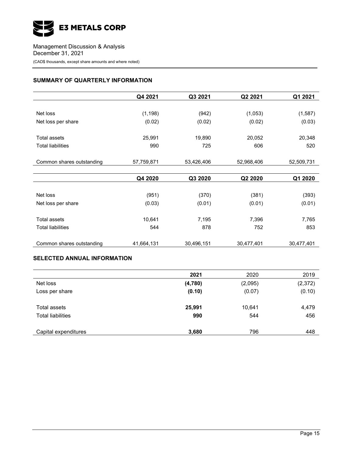

### **SUMMARY OF QUARTERLY INFORMATION**

|                           | Q4 2021    | Q3 2021    | Q2 2021    | Q1 2021    |
|---------------------------|------------|------------|------------|------------|
|                           |            |            |            |            |
| Net loss                  | (1, 198)   | (942)      | (1,053)    | (1, 587)   |
| Net loss per share        | (0.02)     | (0.02)     | (0.02)     | (0.03)     |
|                           |            |            |            |            |
| <b>Total assets</b>       | 25,991     | 19,890     | 20,052     | 20,348     |
| <b>Total liabilities</b>  | 990        | 725        | 606        | 520        |
|                           |            |            |            |            |
| Common shares outstanding | 57,759,871 | 53,426,406 | 52,968,406 | 52,509,731 |
|                           |            |            |            |            |
|                           | Q4 2020    | Q3 2020    | Q2 2020    | Q1 2020    |
|                           |            |            |            |            |
| Net loss                  | (951)      | (370)      | (381)      | (393)      |
| Net loss per share        | (0.03)     | (0.01)     | (0.01)     | (0.01)     |
|                           |            |            |            |            |
| <b>Total assets</b>       | 10,641     | 7,195      | 7,396      | 7,765      |
| <b>Total liabilities</b>  | 544        | 878        | 752        | 853        |
|                           |            |            |            |            |
| Common shares outstanding | 41,664,131 | 30,496,151 | 30,477,401 | 30,477,401 |

## **SELECTED ANNUAL INFORMATION**

|                          | 2021    | 2020    | 2019     |
|--------------------------|---------|---------|----------|
| Net loss                 | (4,780) | (2,095) | (2, 372) |
| Loss per share           | (0.10)  | (0.07)  | (0.10)   |
| Total assets             | 25,991  | 10,641  | 4,479    |
| <b>Total liabilities</b> | 990     | 544     | 456      |
| Capital expenditures     | 3,680   | 796     | 448      |